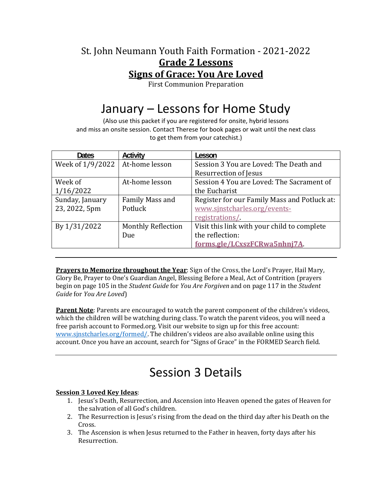### St. John Neumann Youth Faith Formation - 2021-2022 **Grade 2 Lessons Signs of Grace: You Are Loved**

First Communion Preparation

# January – Lessons for Home Study

(Also use this packet if you are registered for onsite, hybrid lessons and miss an onsite session. Contact Therese for book pages or wait until the next class to get them from your catechist.)

| <b>Dates</b>     | Activity                  | Lesson                                       |
|------------------|---------------------------|----------------------------------------------|
| Week of 1/9/2022 | At-home lesson            | Session 3 You are Loved: The Death and       |
|                  |                           | Resurrection of Jesus                        |
| Week of          | At-home lesson            | Session 4 You are Loved: The Sacrament of    |
| 1/16/2022        |                           | the Eucharist                                |
| Sunday, January  | Family Mass and           | Register for our Family Mass and Potluck at: |
| 23, 2022, 5pm    | Potluck                   | www.sjnstcharles.org/events-                 |
|                  |                           | registrations/                               |
| By 1/31/2022     | <b>Monthly Reflection</b> | Visit this link with your child to complete  |
|                  | Due                       | the reflection:                              |
|                  |                           | forms.gle/LCxszFCRwa5nhnj7A                  |

**Prayers to Memorize throughout the Year**: Sign of the Cross, the Lord's Prayer, Hail Mary, Glory Be, Prayer to One's Guardian Angel, Blessing Before a Meal, Act of Contrition (prayers begin on page 105 in the *Student Guide* for *You Are Forgiven* and on page 117 in the *Student Guide* for *You Are Loved*)

**Parent Note**: Parents are encouraged to watch the parent component of the children's videos, which the children will be watching during class. To watch the parent videos, you will need a free parish account to Formed.org. Visit our website to sign up for this free account: www.sjnstcharles.org/formed/. The children's videos are also available online using this account. Once you have an account, search for "Signs of Grace" in the FORMED Search field.

# Session 3 Details

#### **Session 3 Loved Key Ideas**:

- 1. Jesus's Death, Resurrection, and Ascension into Heaven opened the gates of Heaven for the salvation of all God's children.
- 2. The Resurrection is Jesus's rising from the dead on the third day after his Death on the Cross.
- 3. The Ascension is when Jesus returned to the Father in heaven, forty days after his Resurrection.